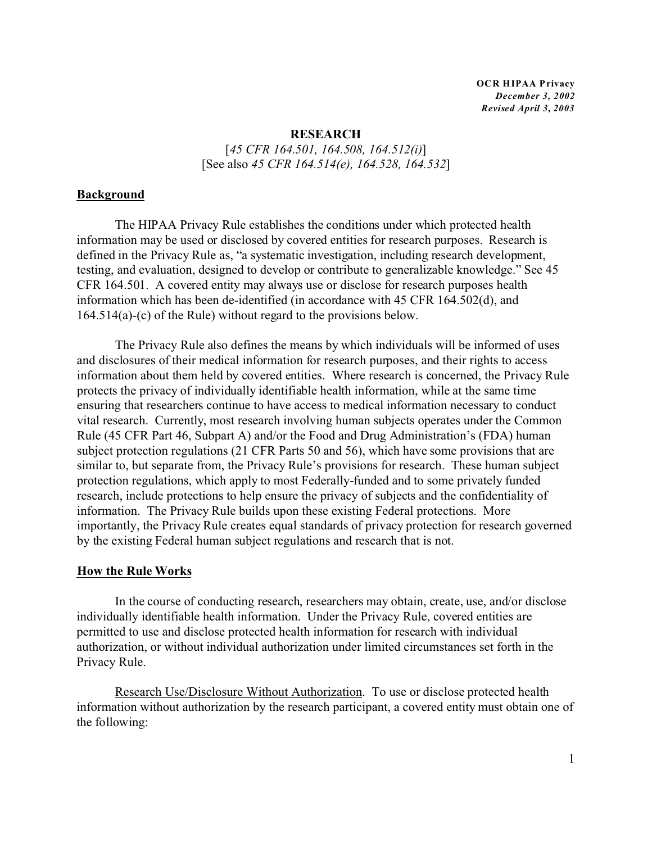## **RESEARCH**

[*45 CFR 164.501, 164.508, 164.512(i)*] [See also *45 CFR 164.514(e), 164.528, 164.532*]

## **Background**

The HIPAA Privacy Rule establishes the conditions under which protected health information may be used or disclosed by covered entities for research purposes. Research is defined in the Privacy Rule as, "a systematic investigation, including research development, testing, and evaluation, designed to develop or contribute to generalizable knowledge." See 45 CFR 164.501. A covered entity may always use or disclose for research purposes health information which has been de-identified (in accordance with 45 CFR 164.502(d), and 164.514(a)-(c) of the Rule) without regard to the provisions below.

The Privacy Rule also defines the means by which individuals will be informed of uses and disclosures of their medical information for research purposes, and their rights to access information about them held by covered entities. Where research is concerned, the Privacy Rule protects the privacy of individually identifiable health information, while at the same time ensuring that researchers continue to have access to medical information necessary to conduct vital research. Currently, most research involving human subjects operates under the Common Rule (45 CFR Part 46, Subpart A) and/or the Food and Drug Administration's (FDA) human subject protection regulations (21 CFR Parts 50 and 56), which have some provisions that are similar to, but separate from, the Privacy Rule's provisions for research. These human subject protection regulations, which apply to most Federally-funded and to some privately funded research, include protections to help ensure the privacy of subjects and the confidentiality of information. The Privacy Rule builds upon these existing Federal protections. More importantly, the Privacy Rule creates equal standards of privacy protection for research governed by the existing Federal human subject regulations and research that is not.

## **How the Rule Works**

In the course of conducting research, researchers may obtain, create, use, and/or disclose individually identifiable health information. Under the Privacy Rule, covered entities are permitted to use and disclose protected health information for research with individual authorization, or without individual authorization under limited circumstances set forth in the Privacy Rule.

Research Use/Disclosure Without Authorization. To use or disclose protected health information without authorization by the research participant, a covered entity must obtain one of the following: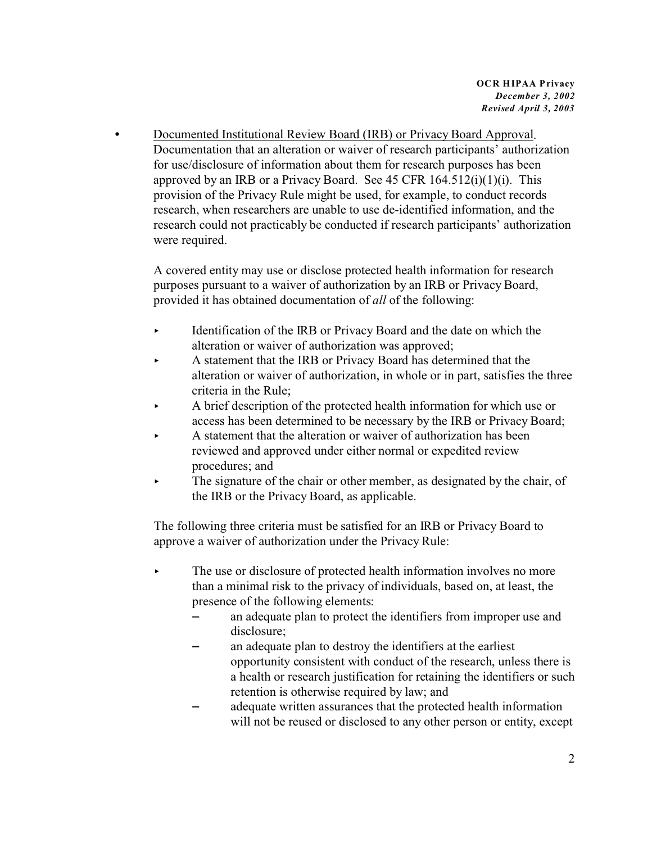Documented Institutional Review Board (IRB) or Privacy Board Approval. Documentation that an alteration or waiver of research participants' authorization for use/disclosure of information about them for research purposes has been approved by an IRB or a Privacy Board. See 45 CFR  $164.512(i)(1)(i)$ . This provision of the Privacy Rule might be used, for example, to conduct records research, when researchers are unable to use de-identified information, and the research could not practicably be conducted if research participants' authorization were required.

A covered entity may use or disclose protected health information for research purposes pursuant to a waiver of authorization by an IRB or Privacy Board, provided it has obtained documentation of *all* of the following:

- Identification of the IRB or Privacy Board and the date on which the alteration or waiver of authorization was approved;
- A statement that the IRB or Privacy Board has determined that the alteration or waiver of authorization, in whole or in part, satisfies the three criteria in the Rule;
- A brief description of the protected health information for which use or access has been determined to be necessary by the IRB or Privacy Board;
- A statement that the alteration or waiver of authorization has been reviewed and approved under either normal or expedited review procedures; and
- The signature of the chair or other member, as designated by the chair, of the IRB or the Privacy Board, as applicable.

The following three criteria must be satisfied for an IRB or Privacy Board to approve a waiver of authorization under the Privacy Rule:

- The use or disclosure of protected health information involves no more than a minimal risk to the privacy of individuals, based on, at least, the presence of the following elements:
	- an adequate plan to protect the identifiers from improper use and disclosure;
	- an adequate plan to destroy the identifiers at the earliest opportunity consistent with conduct of the research, unless there is a health or research justification for retaining the identifiers or such retention is otherwise required by law; and
	- adequate written assurances that the protected health information will not be reused or disclosed to any other person or entity, except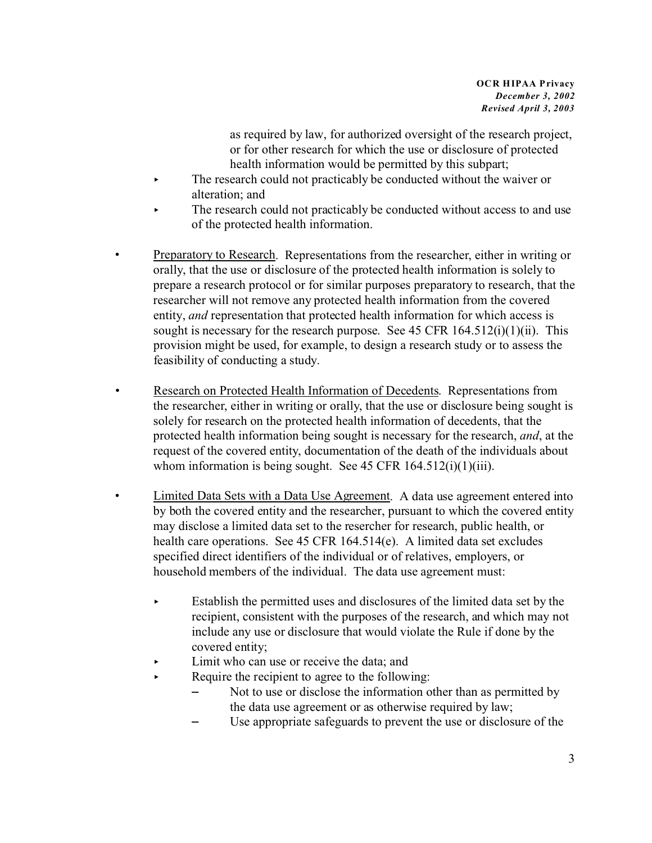as required by law, for authorized oversight of the research project, or for other research for which the use or disclosure of protected health information would be permitted by this subpart;

- $\blacktriangleright$  The research could not practicably be conducted without the waiver or alteration; and
- The research could not practicably be conducted without access to and use of the protected health information.
- Preparatory to Research. Representations from the researcher, either in writing or orally, that the use or disclosure of the protected health information is solely to prepare a research protocol or for similar purposes preparatory to research, that the researcher will not remove any protected health information from the covered entity, *and* representation that protected health information for which access is sought is necessary for the research purpose. See 45 CFR  $164.512(i)(1)(ii)$ . This provision might be used, for example, to design a research study or to assess the feasibility of conducting a study.
- • Research on Protected Health Information of Decedents. Representations from the researcher, either in writing or orally, that the use or disclosure being sought is solely for research on the protected health information of decedents, that the protected health information being sought is necessary for the research, *and*, at the request of the covered entity, documentation of the death of the individuals about whom information is being sought. See 45 CFR 164.512(i)(1)(iii).
- Limited Data Sets with a Data Use Agreement. A data use agreement entered into by both the covered entity and the researcher, pursuant to which the covered entity may disclose a limited data set to the resercher for research, public health, or health care operations. See 45 CFR 164.514(e). A limited data set excludes specified direct identifiers of the individual or of relatives, employers, or household members of the individual. The data use agreement must:
	- $\blacktriangleright$  Establish the permitted uses and disclosures of the limited data set by the recipient, consistent with the purposes of the research, and which may not include any use or disclosure that would violate the Rule if done by the covered entity;
	- Limit who can use or receive the data; and
	- Require the recipient to agree to the following:
		- Not to use or disclose the information other than as permitted by the data use agreement or as otherwise required by law;
		- Use appropriate safeguards to prevent the use or disclosure of the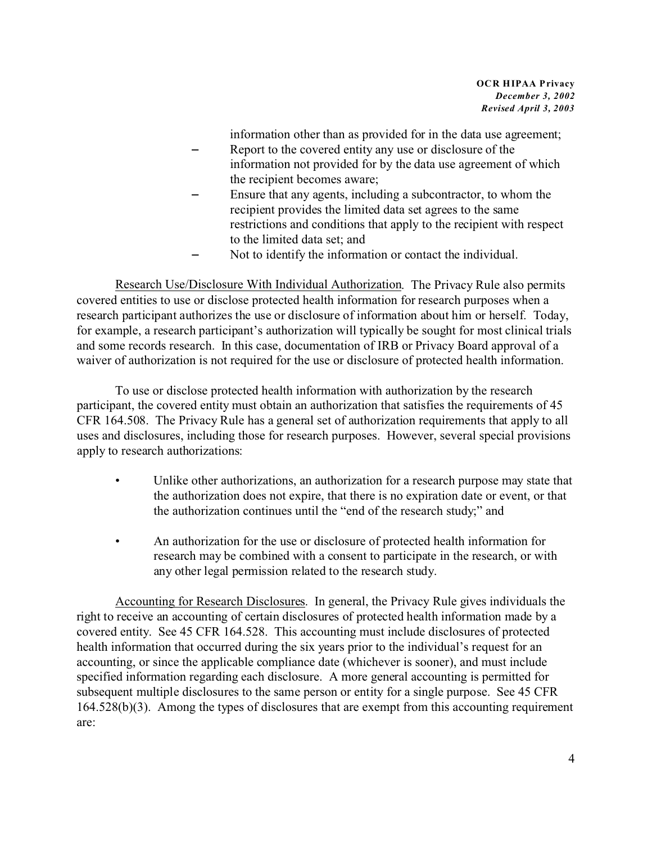- information other than as provided for in the data use agreement;
- Report to the covered entity any use or disclosure of the information not provided for by the data use agreement of which the recipient becomes aware;
- Ensure that any agents, including a subcontractor, to whom the recipient provides the limited data set agrees to the same restrictions and conditions that apply to the recipient with respect to the limited data set; and
- Not to identify the information or contact the individual.

Research Use/Disclosure With Individual Authorization. The Privacy Rule also permits covered entities to use or disclose protected health information for research purposes when a research participant authorizes the use or disclosure of information about him or herself. Today, for example, a research participant's authorization will typically be sought for most clinical trials and some records research. In this case, documentation of IRB or Privacy Board approval of a waiver of authorization is not required for the use or disclosure of protected health information.

To use or disclose protected health information with authorization by the research participant, the covered entity must obtain an authorization that satisfies the requirements of 45 CFR 164.508. The Privacy Rule has a general set of authorization requirements that apply to all uses and disclosures, including those for research purposes. However, several special provisions apply to research authorizations:

- Unlike other authorizations, an authorization for a research purpose may state that the authorization does not expire, that there is no expiration date or event, or that the authorization continues until the "end of the research study;" and
- An authorization for the use or disclosure of protected health information for research may be combined with a consent to participate in the research, or with any other legal permission related to the research study.

Accounting for Research Disclosures. In general, the Privacy Rule gives individuals the right to receive an accounting of certain disclosures of protected health information made by a covered entity. See 45 CFR 164.528. This accounting must include disclosures of protected health information that occurred during the six years prior to the individual's request for an accounting, or since the applicable compliance date (whichever is sooner), and must include specified information regarding each disclosure. A more general accounting is permitted for subsequent multiple disclosures to the same person or entity for a single purpose. See 45 CFR 164.528(b)(3). Among the types of disclosures that are exempt from this accounting requirement are: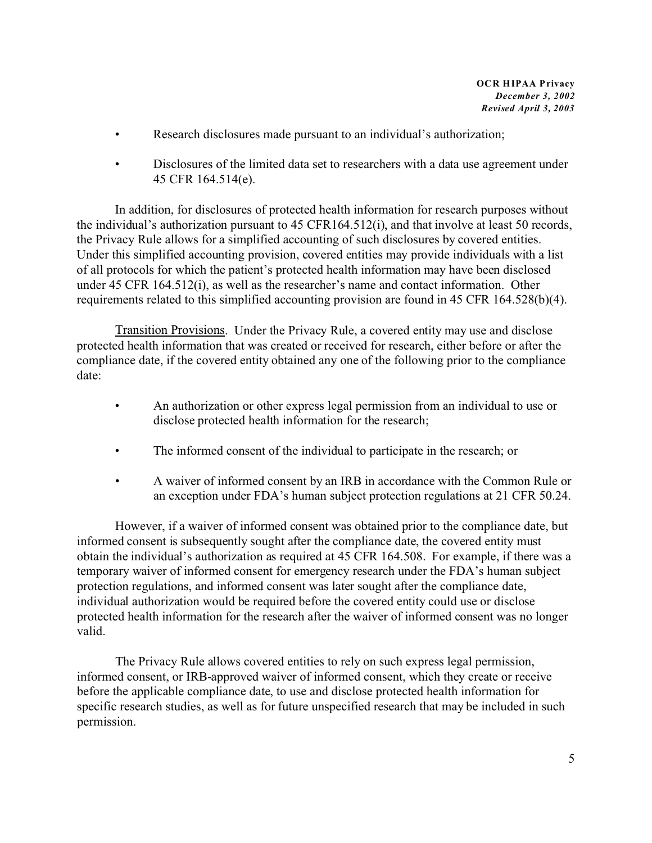- Research disclosures made pursuant to an individual's authorization;
- Disclosures of the limited data set to researchers with a data use agreement under 45 CFR 164.514(e).

In addition, for disclosures of protected health information for research purposes without the individual's authorization pursuant to 45 CFR164.512(i), and that involve at least 50 records, the Privacy Rule allows for a simplified accounting of such disclosures by covered entities. Under this simplified accounting provision, covered entities may provide individuals with a list of all protocols for which the patient's protected health information may have been disclosed under 45 CFR 164.512(i), as well as the researcher's name and contact information. Other requirements related to this simplified accounting provision are found in 45 CFR 164.528(b)(4).

Transition Provisions. Under the Privacy Rule, a covered entity may use and disclose protected health information that was created or received for research, either before or after the compliance date, if the covered entity obtained any one of the following prior to the compliance date:

- An authorization or other express legal permission from an individual to use or disclose protected health information for the research;
- The informed consent of the individual to participate in the research; or
- • A waiver of informed consent by an IRB in accordance with the Common Rule or an exception under FDA's human subject protection regulations at 21 CFR 50.24.

However, if a waiver of informed consent was obtained prior to the compliance date, but informed consent is subsequently sought after the compliance date, the covered entity must obtain the individual's authorization as required at 45 CFR 164.508. For example, if there was a temporary waiver of informed consent for emergency research under the FDA's human subject protection regulations, and informed consent was later sought after the compliance date, individual authorization would be required before the covered entity could use or disclose protected health information for the research after the waiver of informed consent was no longer valid.

The Privacy Rule allows covered entities to rely on such express legal permission, informed consent, or IRB-approved waiver of informed consent, which they create or receive before the applicable compliance date, to use and disclose protected health information for specific research studies, as well as for future unspecified research that may be included in such permission.